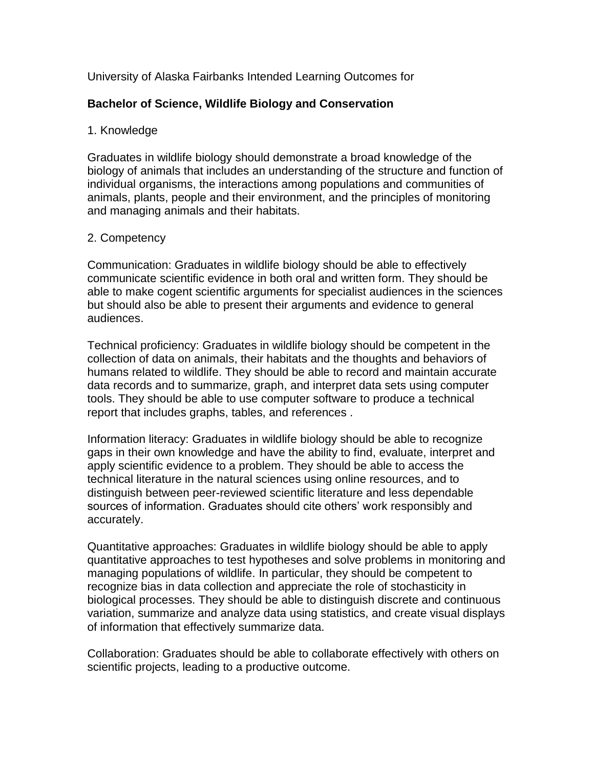# University of Alaska Fairbanks Intended Learning Outcomes for

# **Bachelor of Science, Wildlife Biology and Conservation**

### 1. Knowledge

Graduates in wildlife biology should demonstrate a broad knowledge of the biology of animals that includes an understanding of the structure and function of individual organisms, the interactions among populations and communities of animals, plants, people and their environment, and the principles of monitoring and managing animals and their habitats.

### 2. Competency

Communication: Graduates in wildlife biology should be able to effectively communicate scientific evidence in both oral and written form. They should be able to make cogent scientific arguments for specialist audiences in the sciences but should also be able to present their arguments and evidence to general audiences.

Technical proficiency: Graduates in wildlife biology should be competent in the collection of data on animals, their habitats and the thoughts and behaviors of humans related to wildlife. They should be able to record and maintain accurate data records and to summarize, graph, and interpret data sets using computer tools. They should be able to use computer software to produce a technical report that includes graphs, tables, and references .

Information literacy: Graduates in wildlife biology should be able to recognize gaps in their own knowledge and have the ability to find, evaluate, interpret and apply scientific evidence to a problem. They should be able to access the technical literature in the natural sciences using online resources, and to distinguish between peer-reviewed scientific literature and less dependable sources of information. Graduates should cite others' work responsibly and accurately.

Quantitative approaches: Graduates in wildlife biology should be able to apply quantitative approaches to test hypotheses and solve problems in monitoring and managing populations of wildlife. In particular, they should be competent to recognize bias in data collection and appreciate the role of stochasticity in biological processes. They should be able to distinguish discrete and continuous variation, summarize and analyze data using statistics, and create visual displays of information that effectively summarize data.

Collaboration: Graduates should be able to collaborate effectively with others on scientific projects, leading to a productive outcome.